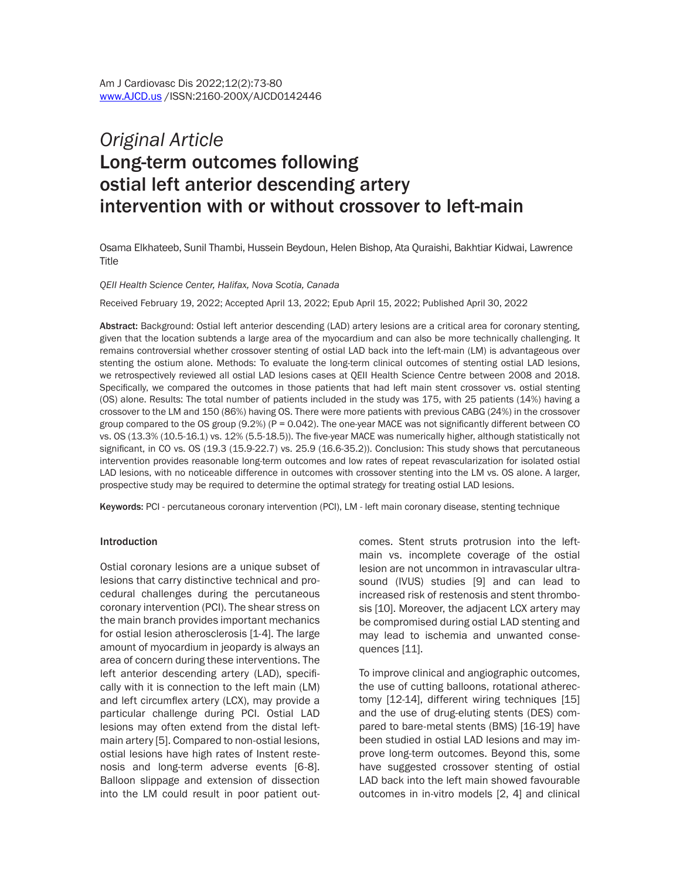# *Original Article*  Long-term outcomes following ostial left anterior descending artery intervention with or without crossover to left-main

Osama Elkhateeb, Sunil Thambi, Hussein Beydoun, Helen Bishop, Ata Quraishi, Bakhtiar Kidwai, Lawrence Title

#### *QEII Health Science Center, Halifax, Nova Scotia, Canada*

Received February 19, 2022; Accepted April 13, 2022; Epub April 15, 2022; Published April 30, 2022

Abstract: Background: Ostial left anterior descending (LAD) artery lesions are a critical area for coronary stenting, given that the location subtends a large area of the myocardium and can also be more technically challenging. It remains controversial whether crossover stenting of ostial LAD back into the left-main (LM) is advantageous over stenting the ostium alone. Methods: To evaluate the long-term clinical outcomes of stenting ostial LAD lesions, we retrospectively reviewed all ostial LAD lesions cases at QEII Health Science Centre between 2008 and 2018. Specifically, we compared the outcomes in those patients that had left main stent crossover vs. ostial stenting (OS) alone. Results: The total number of patients included in the study was 175, with 25 patients (14%) having a crossover to the LM and 150 (86%) having OS. There were more patients with previous CABG (24%) in the crossover group compared to the OS group (9.2%) (P = 0.042). The one-year MACE was not significantly different between CO vs. OS (13.3% (10.5-16.1) vs. 12% (5.5-18.5)). The five-year MACE was numerically higher, although statistically not significant, in CO vs. OS (19.3 (15.9-22.7) vs. 25.9 (16.6-35.2)). Conclusion: This study shows that percutaneous intervention provides reasonable long-term outcomes and low rates of repeat revascularization for isolated ostial LAD lesions, with no noticeable difference in outcomes with crossover stenting into the LM vs. OS alone. A larger, prospective study may be required to determine the optimal strategy for treating ostial LAD lesions.

Keywords: PCI - percutaneous coronary intervention (PCI), LM - left main coronary disease, stenting technique

#### Introduction

Ostial coronary lesions are a unique subset of lesions that carry distinctive technical and procedural challenges during the percutaneous coronary intervention (PCI). The shear stress on the main branch provides important mechanics for ostial lesion atherosclerosis [1-4]. The large amount of myocardium in jeopardy is always an area of concern during these interventions. The left anterior descending artery (LAD), specifically with it is connection to the left main (LM) and left circumflex artery (LCX), may provide a particular challenge during PCI. Ostial LAD lesions may often extend from the distal leftmain artery [5]. Compared to non-ostial lesions, ostial lesions have high rates of Instent restenosis and long-term adverse events [6-8]. Balloon slippage and extension of dissection into the LM could result in poor patient outcomes. Stent struts protrusion into the leftmain vs. incomplete coverage of the ostial lesion are not uncommon in intravascular ultrasound (IVUS) studies [9] and can lead to increased risk of restenosis and stent thrombosis [10]. Moreover, the adjacent LCX artery may be compromised during ostial LAD stenting and may lead to ischemia and unwanted consequences [11].

To improve clinical and angiographic outcomes, the use of cutting balloons, rotational atherectomy [12-14], different wiring techniques [15] and the use of drug-eluting stents (DES) compared to bare-metal stents (BMS) [16-19] have been studied in ostial LAD lesions and may improve long-term outcomes. Beyond this, some have suggested crossover stenting of ostial LAD back into the left main showed favourable outcomes in in-vitro models [2, 4] and clinical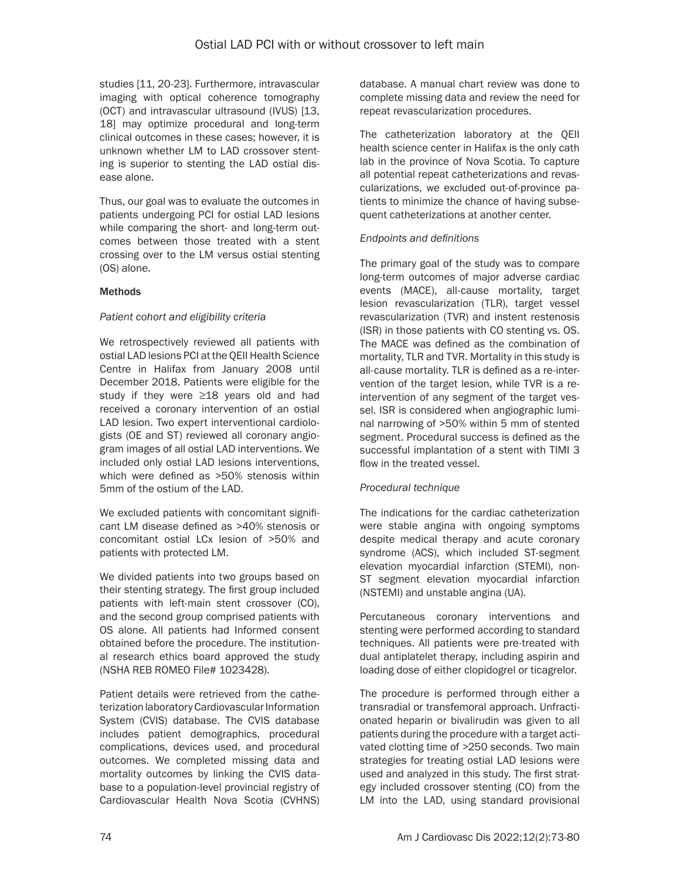studies [11, 20-23]. Furthermore, intravascular imaging with optical coherence tomography (OCT) and intravascular ultrasound (IVUS) [13, 18] may optimize procedural and long-term clinical outcomes in these cases; however, it is unknown whether LM to LAD crossover stenting is superior to stenting the LAD ostial disease alone.

Thus, our goal was to evaluate the outcomes in patients undergoing PCI for ostial LAD lesions while comparing the short- and long-term outcomes between those treated with a stent crossing over to the LM versus ostial stenting (OS) alone.

# **Methods**

# *Patient cohort and eligibility criteria*

We retrospectively reviewed all patients with ostial LAD lesions PCI at the QEII Health Science Centre in Halifax from January 2008 until December 2018. Patients were eligible for the study if they were ≥18 years old and had received a coronary intervention of an ostial LAD lesion. Two expert interventional cardiologists (OE and ST) reviewed all coronary angiogram images of all ostial LAD interventions. We included only ostial LAD lesions interventions, which were defined as >50% stenosis within 5mm of the ostium of the LAD.

We excluded patients with concomitant significant LM disease defined as >40% stenosis or concomitant ostial LCx lesion of >50% and patients with protected LM.

We divided patients into two groups based on their stenting strategy. The first group included patients with left-main stent crossover (CO), and the second group comprised patients with OS alone. All patients had Informed consent obtained before the procedure. The institutional research ethics board approved the study (NSHA REB ROMEO File# 1023428).

Patient details were retrieved from the catheterization laboratory Cardiovascular Information System (CVIS) database. The CVIS database includes patient demographics, procedural complications, devices used, and procedural outcomes. We completed missing data and mortality outcomes by linking the CVIS database to a population-level provincial registry of Cardiovascular Health Nova Scotia (CVHNS) database. A manual chart review was done to complete missing data and review the need for repeat revascularization procedures.

The catheterization laboratory at the QEII health science center in Halifax is the only cath lab in the province of Nova Scotia. To capture all potential repeat catheterizations and revascularizations, we excluded out-of-province patients to minimize the chance of having subsequent catheterizations at another center.

# *Endpoints and definitions*

The primary goal of the study was to compare long-term outcomes of major adverse cardiac events (MACE), all-cause mortality, target lesion revascularization (TLR), target vessel revascularization (TVR) and instent restenosis (ISR) in those patients with CO stenting vs. OS. The MACE was defined as the combination of mortality, TLR and TVR. Mortality in this study is all-cause mortality. TLR is defined as a re-intervention of the target lesion, while TVR is a reintervention of any segment of the target vessel. ISR is considered when angiographic luminal narrowing of >50% within 5 mm of stented segment. Procedural success is defined as the successful implantation of a stent with TIMI 3 flow in the treated vessel.

# *Procedural technique*

The indications for the cardiac catheterization were stable angina with ongoing symptoms despite medical therapy and acute coronary syndrome (ACS), which included ST-segment elevation myocardial infarction (STEMI), non-ST segment elevation myocardial infarction (NSTEMI) and unstable angina (UA).

Percutaneous coronary interventions and stenting were performed according to standard techniques. All patients were pre-treated with dual antiplatelet therapy, including aspirin and loading dose of either clopidogrel or ticagrelor.

The procedure is performed through either a transradial or transfemoral approach. Unfractionated heparin or bivalirudin was given to all patients during the procedure with a target activated clotting time of >250 seconds. Two main strategies for treating ostial LAD lesions were used and analyzed in this study. The first strategy included crossover stenting (CO) from the LM into the LAD, using standard provisional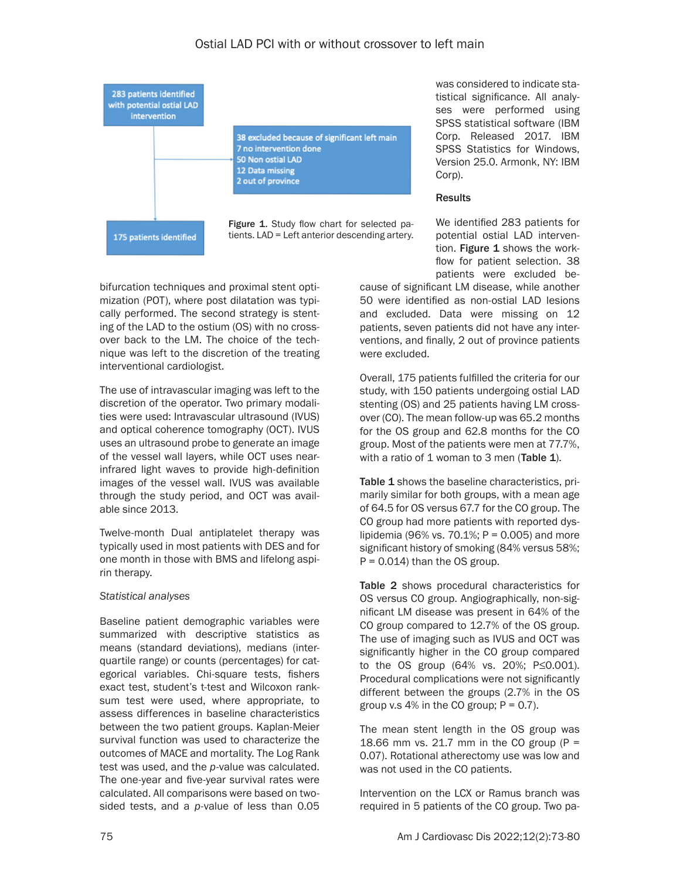

bifurcation techniques and proximal stent optimization (POT), where post dilatation was typically performed. The second strategy is stenting of the LAD to the ostium (OS) with no crossover back to the LM. The choice of the technique was left to the discretion of the treating interventional cardiologist.

The use of intravascular imaging was left to the discretion of the operator. Two primary modalities were used: Intravascular ultrasound (IVUS) and optical coherence tomography (OCT). IVUS uses an ultrasound probe to generate an image of the vessel wall layers, while OCT uses nearinfrared light waves to provide high-definition images of the vessel wall. IVUS was available through the study period, and OCT was available since 2013.

Twelve-month Dual antiplatelet therapy was typically used in most patients with DES and for one month in those with BMS and lifelong aspirin therapy.

### *Statistical analyses*

Baseline patient demographic variables were summarized with descriptive statistics as means (standard deviations), medians (interquartile range) or counts (percentages) for categorical variables. Chi-square tests, fishers exact test, student's t-test and Wilcoxon ranksum test were used, where appropriate, to assess differences in baseline characteristics between the two patient groups. Kaplan-Meier survival function was used to characterize the outcomes of MACE and mortality. The Log Rank test was used, and the *p*-value was calculated. The one-year and five-year survival rates were calculated. All comparisons were based on twosided tests, and a *p*-value of less than 0.05 was considered to indicate statistical significance. All analyses were performed using SPSS statistical software (IBM Corp. Released 2017. IBM SPSS Statistics for Windows, Version 25.0. Armonk, NY: IBM Corp).

## **Results**

We identified 283 patients for potential ostial LAD intervention. Figure 1 shows the workflow for patient selection. 38 patients were excluded be-

cause of significant LM disease, while another 50 were identified as non-ostial LAD lesions and excluded. Data were missing on 12 patients, seven patients did not have any interventions, and finally, 2 out of province patients were excluded.

Overall, 175 patients fulfilled the criteria for our study, with 150 patients undergoing ostial LAD stenting (OS) and 25 patients having LM crossover (CO). The mean follow-up was 65.2 months for the OS group and 62.8 months for the CO group. Most of the patients were men at 77.7%, with a ratio of  $1$  woman to  $3$  men (Table  $1$ ).

Table 1 shows the baseline characteristics, primarily similar for both groups, with a mean age of 64.5 for OS versus 67.7 for the CO group. The CO group had more patients with reported dyslipidemia (96% vs. 70.1%;  $P = 0.005$ ) and more significant history of smoking (84% versus 58%;  $P = 0.014$ ) than the OS group.

Table 2 shows procedural characteristics for OS versus CO group. Angiographically, non-significant LM disease was present in 64% of the CO group compared to 12.7% of the OS group. The use of imaging such as IVUS and OCT was significantly higher in the CO group compared to the OS group (64% vs. 20%; P≤0.001). Procedural complications were not significantly different between the groups (2.7% in the OS group v.s  $4\%$  in the CO group;  $P = 0.7$ ).

The mean stent length in the OS group was 18.66 mm vs. 21.7 mm in the CO group ( $P =$ 0.07). Rotational atherectomy use was low and was not used in the CO patients.

Intervention on the LCX or Ramus branch was required in 5 patients of the CO group. Two pa-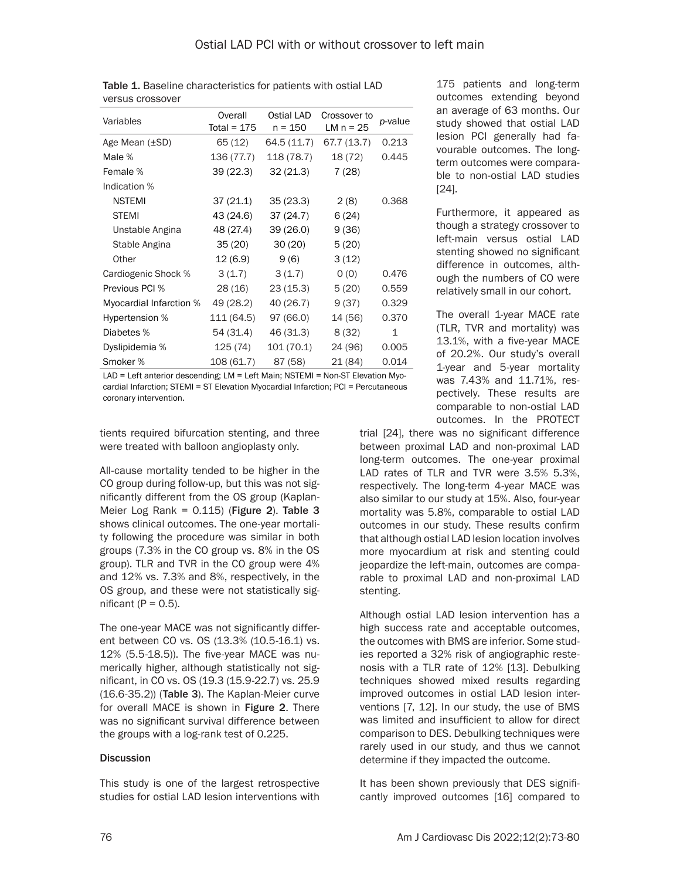| Variables               | Overall<br>Total = $175$ | Ostial LAD<br>n = 150 | Crossover to<br>LM $n = 25$ | p-value |
|-------------------------|--------------------------|-----------------------|-----------------------------|---------|
| Age Mean (±SD)          | 65 (12)                  | 64.5 (11.7)           | 67.7 (13.7)                 | 0.213   |
| Male %                  | 136 (77.7)               | 118 (78.7)            | 18 (72)                     | 0.445   |
| Female %                | 39(22.3)                 | 32(21.3)              | 7(28)                       |         |
| Indication %            |                          |                       |                             |         |
| <b>NSTEMI</b>           | 37(21.1)                 | 35(23.3)              | 2(8)                        | 0.368   |
| <b>STEMI</b>            | 43 (24.6)                | 37(24.7)              | 6(24)                       |         |
| Unstable Angina         | 48 (27.4)                | 39 (26.0)             | 9(36)                       |         |
| Stable Angina           | 35(20)                   | 30(20)                | 5(20)                       |         |
| Other                   | 12 (6.9)                 | 9(6)                  | 3(12)                       |         |
| Cardiogenic Shock %     | 3(1.7)                   | 3(1.7)                | 0(0)                        | 0.476   |
| Previous PCI %          | 28 (16)                  | 23(15.3)              | 5(20)                       | 0.559   |
| Myocardial Infarction % | 49 (28.2)                | 40 (26.7)             | 9(37)                       | 0.329   |
| Hypertension %          | 111 (64.5)               | 97 (66.0)             | 14 (56)                     | 0.370   |
| Diabetes %              | 54 (31.4)                | 46 (31.3)             | 8(32)                       | 1       |
| Dyslipidemia %          | 125 (74)                 | 101 (70.1)            | 24 (96)                     | 0.005   |
| Smoker %                | 108 (61.7)               | 87 (58)               | 21 (84)                     | 0.014   |

Table 1. Baseline characteristics for patients with ostial LAD versus crossover

LAD = Left anterior descending; LM = Left Main; NSTEMI = Non-ST Elevation Myocardial Infarction; STEMI = ST Elevation Myocardial Infarction; PCI = Percutaneous coronary intervention.

tients required bifurcation stenting, and three were treated with balloon angioplasty only.

All-cause mortality tended to be higher in the CO group during follow-up, but this was not significantly different from the OS group (Kaplan-Meier Log Rank =  $0.115$ ) (Figure 2). Table 3 shows clinical outcomes. The one-year mortality following the procedure was similar in both groups (7.3% in the CO group vs. 8% in the OS group). TLR and TVR in the CO group were 4% and 12% vs. 7.3% and 8%, respectively, in the OS group, and these were not statistically significant ( $P = 0.5$ ).

The one-year MACE was not significantly different between CO vs. OS (13.3% (10.5-16.1) vs. 12% (5.5-18.5)). The five-year MACE was numerically higher, although statistically not significant, in CO vs. OS (19.3 (15.9-22.7) vs. 25.9 (16.6-35.2)) (Table 3). The Kaplan-Meier curve for overall MACE is shown in Figure 2. There was no significant survival difference between the groups with a log-rank test of 0.225.

### **Discussion**

This study is one of the largest retrospective studies for ostial LAD lesion interventions with

175 patients and long-term outcomes extending beyond an average of 63 months. Our study showed that ostial LAD lesion PCI generally had favourable outcomes. The longterm outcomes were comparable to non-ostial LAD studies [24].

Furthermore, it appeared as though a strategy crossover to left-main versus ostial LAD stenting showed no significant difference in outcomes, although the numbers of CO were relatively small in our cohort.

The overall 1-year MACE rate (TLR, TVR and mortality) was 13.1%, with a five-year MACE of 20.2%. Our study's overall 1-year and 5-year mortality was 7.43% and 11.71%, respectively. These results are comparable to non-ostial LAD outcomes. In the PROTECT

trial [24], there was no significant difference between proximal LAD and non-proximal LAD long-term outcomes. The one-year proximal LAD rates of TLR and TVR were 3.5% 5.3%, respectively. The long-term 4-year MACE was also similar to our study at 15%. Also, four-year mortality was 5.8%, comparable to ostial LAD outcomes in our study. These results confirm that although ostial LAD lesion location involves more myocardium at risk and stenting could jeopardize the left-main, outcomes are comparable to proximal LAD and non-proximal LAD stenting.

Although ostial LAD lesion intervention has a high success rate and acceptable outcomes, the outcomes with BMS are inferior. Some studies reported a 32% risk of angiographic restenosis with a TLR rate of 12% [13]. Debulking techniques showed mixed results regarding improved outcomes in ostial LAD lesion interventions [7, 12]. In our study, the use of BMS was limited and insufficient to allow for direct comparison to DES. Debulking techniques were rarely used in our study, and thus we cannot determine if they impacted the outcome.

It has been shown previously that DES significantly improved outcomes [16] compared to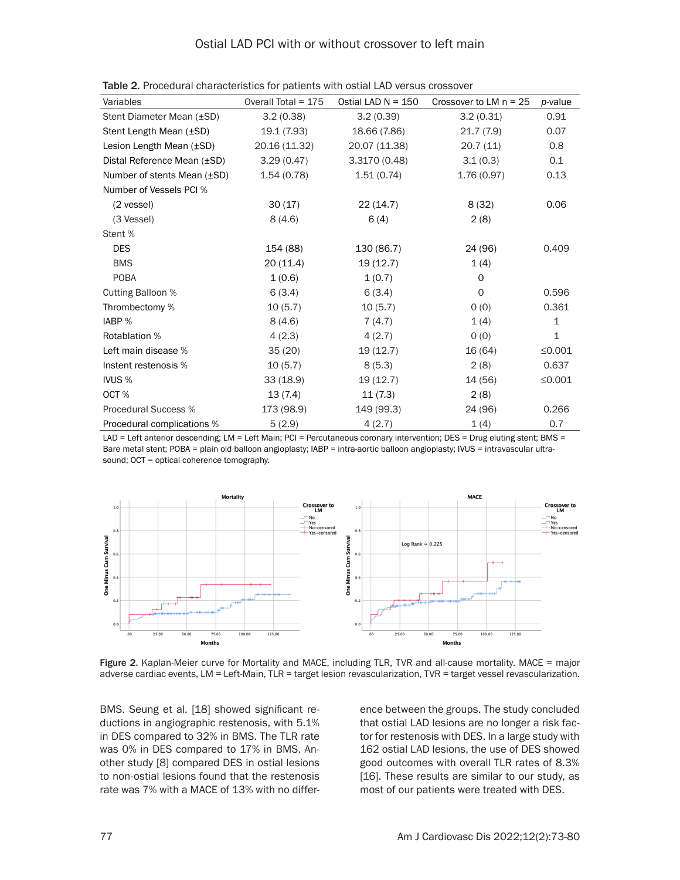| Variables                        | Overall Total = $175$ | Ostial LAD $N = 150$ | Crossover to LM $n = 25$ | p-value      |
|----------------------------------|-----------------------|----------------------|--------------------------|--------------|
| Stent Diameter Mean (±SD)        | 3.2(0.38)             | 3.2(0.39)            | 3.2(0.31)                | 0.91         |
| Stent Length Mean (±SD)          | 19.1 (7.93)           | 18.66 (7.86)         | 21.7(7.9)                | 0.07         |
| Lesion Length Mean (±SD)         | 20.16 (11.32)         | 20.07 (11.38)        | 20.7(11)                 | 0.8          |
| Distal Reference Mean (±SD)      | 3.29(0.47)            | 3.3170 (0.48)        | 3.1(0.3)                 | 0.1          |
| Number of stents Mean $(\pm SD)$ | 1.54(0.78)            | 1.51(0.74)           | 1.76(0.97)               | 0.13         |
| Number of Vessels PCI %          |                       |                      |                          |              |
| (2 vessel)                       | 30(17)                | 22 (14.7)            | 8(32)                    | 0.06         |
| (3 Vessel)                       | 8(4.6)                | 6(4)                 | 2(8)                     |              |
| Stent %                          |                       |                      |                          |              |
| <b>DES</b>                       | 154 (88)              | 130 (86.7)           | 24 (96)                  | 0.409        |
| <b>BMS</b>                       | 20(11.4)              | 19(12.7)             | 1(4)                     |              |
| <b>POBA</b>                      | 1(0.6)                | 1(0.7)               | $\Omega$                 |              |
| <b>Cutting Balloon %</b>         | 6(3.4)                | 6(3.4)               | $\circ$                  | 0.596        |
| Thrombectomy %                   | 10(5.7)               | 10(5.7)              | O(0)                     | 0.361        |
| IABP %                           | 8(4.6)                | 7(4.7)               | 1(4)                     | $\mathbf{1}$ |
| Rotablation %                    | 4(2.3)                | 4(2.7)               | 0(0)                     | $\mathbf 1$  |
| Left main disease %              | 35(20)                | 19(12.7)             | 16 (64)                  | $\leq 0.001$ |
| Instent restenosis %             | 10(5.7)               | 8(5.3)               | 2(8)                     | 0.637        |
| IVUS <sub>%</sub>                | 33(18.9)              | 19(12.7)             | 14 (56)                  | $\leq 0.001$ |
| OCT%                             | 13(7.4)               | 11(7.3)              | 2(8)                     |              |
| <b>Procedural Success %</b>      | 173 (98.9)            | 149 (99.3)           | 24 (96)                  | 0.266        |
| Procedural complications %       | 5(2.9)                | 4(2.7)               | 1(4)                     | 0.7          |

Table 2. Procedural characteristics for patients with ostial LAD versus crossover

LAD = Left anterior descending; LM = Left Main; PCI = Percutaneous coronary intervention; DES = Drug eluting stent; BMS = Bare metal stent; POBA = plain old balloon angioplasty; IABP = intra-aortic balloon angioplasty; IVUS = intravascular ultrasound; OCT = optical coherence tomography.



Figure 2. Kaplan-Meier curve for Mortality and MACE, including TLR, TVR and all-cause mortality. MACE = major adverse cardiac events, LM = Left-Main, TLR = target lesion revascularization, TVR = target vessel revascularization.

BMS. Seung et al. [18] showed significant reductions in angiographic restenosis, with 5.1% in DES compared to 32% in BMS. The TLR rate was 0% in DES compared to 17% in BMS. Another study [8] compared DES in ostial lesions to non-ostial lesions found that the restenosis rate was 7% with a MACE of 13% with no difference between the groups. The study concluded that ostial LAD lesions are no longer a risk factor for restenosis with DES. In a large study with 162 ostial LAD lesions, the use of DES showed good outcomes with overall TLR rates of 8.3% [16]. These results are similar to our study, as most of our patients were treated with DES.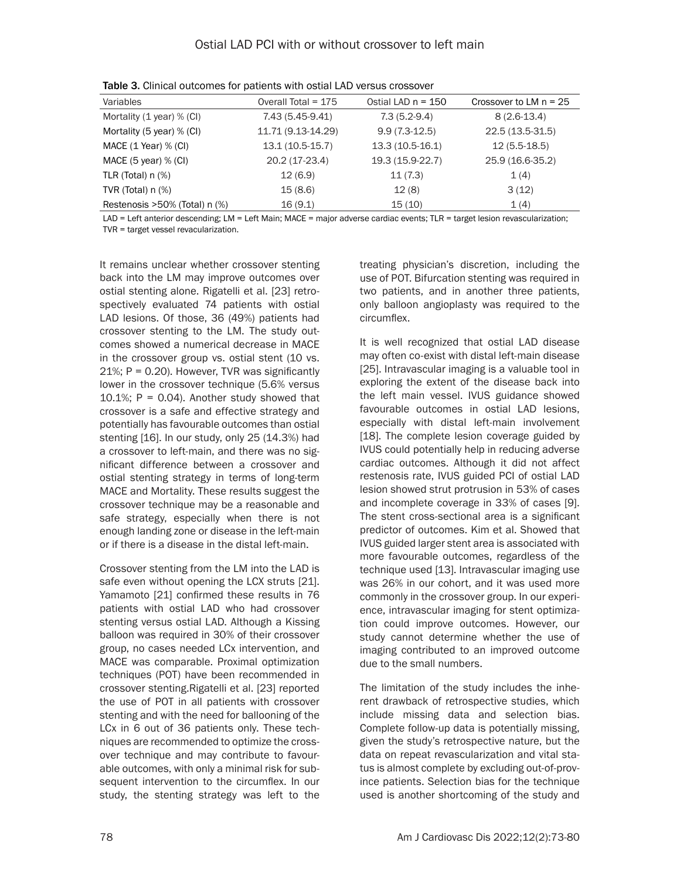| Variables                     | Overall Total = $175$ | Ostial LAD $n = 150$ | Crossover to LM $n = 25$ |
|-------------------------------|-----------------------|----------------------|--------------------------|
| Mortality (1 year) % (CI)     | 7.43 (5.45-9.41)      | $7.3(5.2-9.4)$       | $8(2.6-13.4)$            |
| Mortality (5 year) % (CI)     | 11.71 (9.13-14.29)    | $9.9(7.3-12.5)$      | 22.5 (13.5-31.5)         |
| MACE (1 Year) % (CI)          | $13.1(10.5-15.7)$     | $13.3(10.5-16.1)$    | $12(5.5-18.5)$           |
| MACE $(5$ year) % $(Cl)$      | 20.2 (17-23.4)        | 19.3 (15.9-22.7)     | 25.9 (16.6-35.2)         |
| TLR (Total) $n$ $%$ )         | 12(6.9)               | 11(7.3)              | 1(4)                     |
| TVR (Total) $n$ $%$ )         | 15(8.6)               | 12(8)                | 3(12)                    |
| Restenosis >50% (Total) n (%) | 16(9.1)               | 15(10)               | 1(4)                     |

Table 3. Clinical outcomes for patients with ostial LAD versus crossover

LAD = Left anterior descending; LM = Left Main; MACE = major adverse cardiac events; TLR = target lesion revascularization; TVR = target vessel revacularization.

It remains unclear whether crossover stenting back into the LM may improve outcomes over ostial stenting alone. Rigatelli et al. [23] retrospectively evaluated 74 patients with ostial LAD lesions. Of those, 36 (49%) patients had crossover stenting to the LM. The study outcomes showed a numerical decrease in MACE in the crossover group vs. ostial stent (10 vs. 21%; P = 0.20). However, TVR was significantly lower in the crossover technique (5.6% versus 10.1%;  $P = 0.04$ ). Another study showed that crossover is a safe and effective strategy and potentially has favourable outcomes than ostial stenting [16]. In our study, only 25 (14.3%) had a crossover to left-main, and there was no significant difference between a crossover and ostial stenting strategy in terms of long-term MACE and Mortality. These results suggest the crossover technique may be a reasonable and safe strategy, especially when there is not enough landing zone or disease in the left-main or if there is a disease in the distal left-main.

Crossover stenting from the LM into the LAD is safe even without opening the LCX struts [21]. Yamamoto [21] confirmed these results in 76 patients with ostial LAD who had crossover stenting versus ostial LAD. Although a Kissing balloon was required in 30% of their crossover group, no cases needed LCx intervention, and MACE was comparable. Proximal optimization techniques (POT) have been recommended in crossover stenting.Rigatelli et al. [23] reported the use of POT in all patients with crossover stenting and with the need for ballooning of the LCx in 6 out of 36 patients only. These techniques are recommended to optimize the crossover technique and may contribute to favourable outcomes, with only a minimal risk for subsequent intervention to the circumflex. In our study, the stenting strategy was left to the treating physician's discretion, including the use of POT. Bifurcation stenting was required in two patients, and in another three patients, only balloon angioplasty was required to the circumflex.

It is well recognized that ostial LAD disease may often co-exist with distal left-main disease [25]. Intravascular imaging is a valuable tool in exploring the extent of the disease back into the left main vessel. IVUS guidance showed favourable outcomes in ostial LAD lesions, especially with distal left-main involvement [18]. The complete lesion coverage guided by IVUS could potentially help in reducing adverse cardiac outcomes. Although it did not affect restenosis rate, IVUS guided PCI of ostial LAD lesion showed strut protrusion in 53% of cases and incomplete coverage in 33% of cases [9]. The stent cross-sectional area is a significant predictor of outcomes. Kim et al. Showed that IVUS guided larger stent area is associated with more favourable outcomes, regardless of the technique used [13]. Intravascular imaging use was 26% in our cohort, and it was used more commonly in the crossover group. In our experience, intravascular imaging for stent optimization could improve outcomes. However, our study cannot determine whether the use of imaging contributed to an improved outcome due to the small numbers.

The limitation of the study includes the inherent drawback of retrospective studies, which include missing data and selection bias. Complete follow-up data is potentially missing, given the study's retrospective nature, but the data on repeat revascularization and vital status is almost complete by excluding out-of-province patients. Selection bias for the technique used is another shortcoming of the study and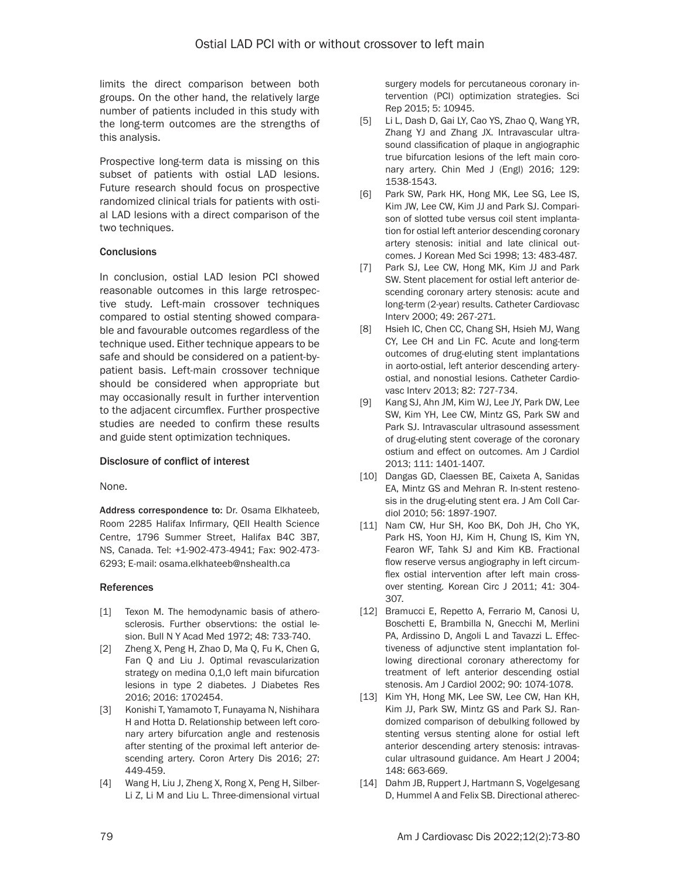limits the direct comparison between both groups. On the other hand, the relatively large number of patients included in this study with the long-term outcomes are the strengths of this analysis.

Prospective long-term data is missing on this subset of patients with ostial LAD lesions. Future research should focus on prospective randomized clinical trials for patients with ostial LAD lesions with a direct comparison of the two techniques.

### **Conclusions**

In conclusion, ostial LAD lesion PCI showed reasonable outcomes in this large retrospective study. Left-main crossover techniques compared to ostial stenting showed comparable and favourable outcomes regardless of the technique used. Either technique appears to be safe and should be considered on a patient-bypatient basis. Left-main crossover technique should be considered when appropriate but may occasionally result in further intervention to the adjacent circumflex. Further prospective studies are needed to confirm these results and guide stent optimization techniques.

### Disclosure of conflict of interest

None.

Address correspondence to: Dr. Osama Elkhateeb, Room 2285 Halifax Infirmary, QEII Health Science Centre, 1796 Summer Street, Halifax B4C 3B7, NS, Canada. Tel: +1-902-473-4941; Fax: 902-473- 6293; E-mail: osama.elkhateeb@nshealth.ca

### References

- [1] Texon M. The hemodynamic basis of atherosclerosis. Further observtions: the ostial lesion. Bull N Y Acad Med 1972; 48: 733-740.
- [2] Zheng X, Peng H, Zhao D, Ma Q, Fu K, Chen G, Fan Q and Liu J. Optimal revascularization strategy on medina 0,1,0 left main bifurcation lesions in type 2 diabetes. J Diabetes Res 2016; 2016: 1702454.
- [3] Konishi T, Yamamoto T, Funayama N, Nishihara H and Hotta D. Relationship between left coronary artery bifurcation angle and restenosis after stenting of the proximal left anterior descending artery. Coron Artery Dis 2016; 27: 449-459.
- [4] Wang H, Liu J, Zheng X, Rong X, Peng H, Silber-Li Z, Li M and Liu L. Three-dimensional virtual

surgery models for percutaneous coronary intervention (PCI) optimization strategies. Sci Rep 2015; 5: 10945.

- [5] Li L, Dash D, Gai LY, Cao YS, Zhao Q, Wang YR, Zhang YJ and Zhang JX. Intravascular ultrasound classification of plaque in angiographic true bifurcation lesions of the left main coronary artery. Chin Med J (Engl) 2016; 129: 1538-1543.
- [6] Park SW, Park HK, Hong MK, Lee SG, Lee IS, Kim JW, Lee CW, Kim JJ and Park SJ. Comparison of slotted tube versus coil stent implantation for ostial left anterior descending coronary artery stenosis: initial and late clinical outcomes. J Korean Med Sci 1998; 13: 483-487.
- [7] Park SJ, Lee CW, Hong MK, Kim JJ and Park SW. Stent placement for ostial left anterior descending coronary artery stenosis: acute and long-term (2-year) results. Catheter Cardiovasc Interv 2000; 49: 267-271.
- [8] Hsieh IC, Chen CC, Chang SH, Hsieh MJ, Wang CY, Lee CH and Lin FC. Acute and long-term outcomes of drug-eluting stent implantations in aorto-ostial, left anterior descending arteryostial, and nonostial lesions. Catheter Cardiovasc Interv 2013; 82: 727-734.
- [9] Kang SJ, Ahn JM, Kim WJ, Lee JY, Park DW, Lee SW, Kim YH, Lee CW, Mintz GS, Park SW and Park SJ. Intravascular ultrasound assessment of drug-eluting stent coverage of the coronary ostium and effect on outcomes. Am J Cardiol 2013; 111: 1401-1407.
- [10] Dangas GD, Claessen BE, Caixeta A, Sanidas EA, Mintz GS and Mehran R. In-stent restenosis in the drug-eluting stent era. J Am Coll Cardiol 2010; 56: 1897-1907.
- [11] Nam CW, Hur SH, Koo BK, Doh JH, Cho YK, Park HS, Yoon HJ, Kim H, Chung IS, Kim YN, Fearon WF, Tahk SJ and Kim KB. Fractional flow reserve versus angiography in left circumflex ostial intervention after left main crossover stenting. Korean Circ J 2011; 41: 304- 307.
- [12] Bramucci E, Repetto A, Ferrario M, Canosi U, Boschetti E, Brambilla N, Gnecchi M, Merlini PA, Ardissino D, Angoli L and Tavazzi L. Effectiveness of adjunctive stent implantation following directional coronary atherectomy for treatment of left anterior descending ostial stenosis. Am J Cardiol 2002; 90: 1074-1078.
- [13] Kim YH, Hong MK, Lee SW, Lee CW, Han KH, Kim JJ, Park SW, Mintz GS and Park SJ. Randomized comparison of debulking followed by stenting versus stenting alone for ostial left anterior descending artery stenosis: intravascular ultrasound guidance. Am Heart J 2004; 148: 663-669.
- [14] Dahm JB, Ruppert J, Hartmann S, Vogelgesang D, Hummel A and Felix SB. Directional atherec-